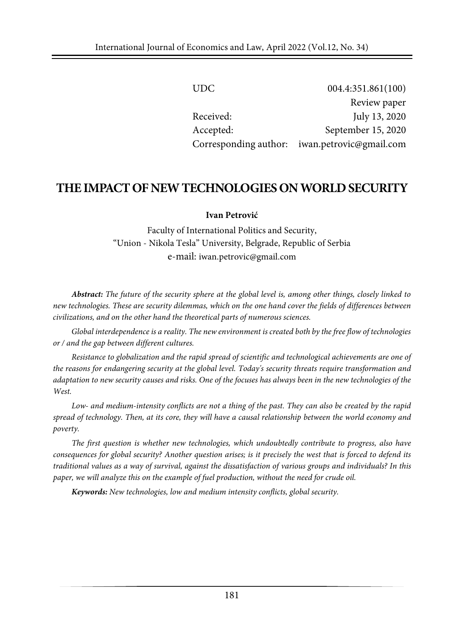| UDC.                  | 004.4:351.861(100)      |
|-----------------------|-------------------------|
|                       | Review paper            |
| Received:             | July 13, 2020           |
| Accepted:             | September 15, 2020      |
| Corresponding author: | iwan.petrovic@gmail.com |

# **THEIMPACTOFNEWTECHNOLOGIESONWORLDSECURITY**

### **Ivan Petrović**

Faculty of International Politics and Security, "Union - Nikola Tesla" University, Belgrade, Republic of Serbia e-mail[: iwan.petrovic@gmail.com](mailto:iwan.petrovic@gmail.com)

Abstract: The future of the security sphere at the global level is, among other things, closely linked to new technologies. These are security dilemmas, which on the one hand cover the fields of differences between *civilizations, and on the other hand the theoretical parts of numerous sciences.*

*Global interdependence is a reality. The new environment is created both by the free flow of technologies or / and the gap between different cultures.*

*Resistance to globalization and the rapid spread of scientific and technological achievements are one of the reasons for endangering security at the global level. Today's security threats require transformation and* adaptation to new security causes and risks. One of the focuses has always been in the new technologies of the *West.*

Low- and medium-intensity conflicts are not a thing of the past. They can also be created by the rapid spread of technology. Then, at its core, they will have a causal relationship between the world economy and *poverty.*

*The first question is whether new technologies, which undoubtedly contribute to progress, also have* consequences for global security? Another question arises; is it precisely the west that is forced to defend its traditional values as a way of survival, against the dissatisfaction of various groups and individuals? In this *paper, we will analyze this on the example of fuel production, without the need for crude oil.*

*Keywords: New technologies, low and medium intensity conflicts, global security.*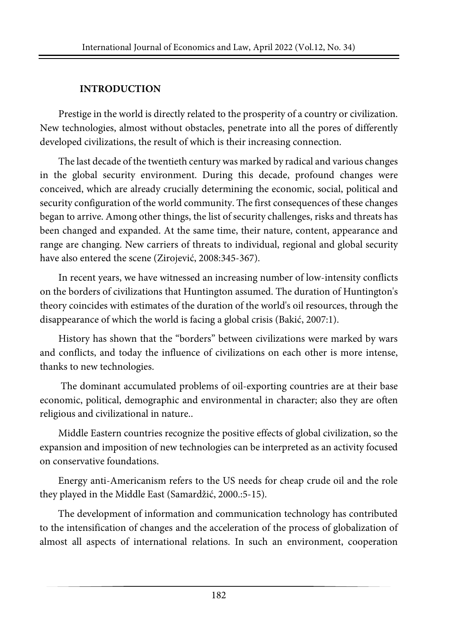## **INTRODUCTION**

Prestige in the world is directly related to the prosperity of a country or civilization. New technologies, almost without obstacles, penetrate into all the pores of differently developed civilizations, the result of which is their increasing connection.

The last decade of the twentieth century was marked by radical and various changes in the global security environment. During this decade, profound changes were conceived, which are already crucially determining the economic, social, political and security configuration of the world community. The first consequences of these changes began to arrive. Among other things, the list of security challenges, risks and threats has been changed and expanded. At the same time, their nature, content, appearance and range are changing. New carriers of threats to individual, regional and global security have also entered the scene (Zirojević, 2008:345-367).

In recent years, we have witnessed an increasing number of low-intensity conflicts on the borders of civilizations that Huntington assumed. The duration of Huntington's theory coincides with estimates of the duration of the world's oil resources, through the disappearance of which the world is facing a global crisis (Bakić, 2007:1).

History has shown that the "borders" between civilizations were marked by wars and conflicts, and today the influence of civilizations on each other is more intense, thanks to new technologies.

The dominant accumulated problems of oil-exporting countries are at their base economic, political, demographic and environmental in character; also they are often religious and civilizational in nature..

Middle Eastern countries recognize the positive effects of global civilization, so the expansion and imposition of new technologies can be interpreted as an activity focused on conservative foundations.

Energy anti-Americanism refers to the US needs for cheap crude oil and the role they played in the Middle East (Samardžić, 2000.:5-15).

The development of information and communication technology has contributed to the intensification of changes and the acceleration of the process of globalization of almost all aspects of international relations. In such an environment, cooperation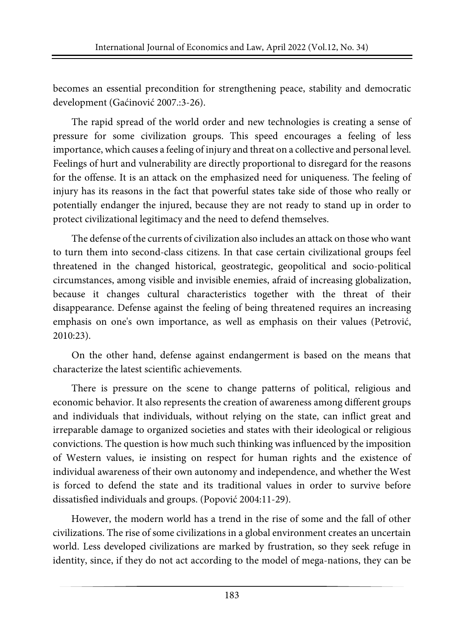becomes an essential precondition for strengthening peace, stability and democratic development (Gaćinović 2007.:3-26).

The rapid spread of the world order and new technologies is creating a sense of pressure for some civilization groups. This speed encourages a feeling of less importance, which causes a feeling of injury and threat on a collective and personal level. Feelings of hurt and vulnerability are directly proportional to disregard for the reasons for the offense. It is an attack on the emphasized need for uniqueness. The feeling of injury has its reasons in the fact that powerful states take side of those who really or potentially endanger the injured, because they are not ready to stand up in order to protect civilizational legitimacy and the need to defend themselves.

The defense of the currents of civilization also includes an attack on those who want to turn them into second-class citizens. In that case certain civilizational groups feel threatened in the changed historical, geostrategic, geopolitical and socio-political circumstances, among visible and invisible enemies, afraid of increasing globalization, because it changes cultural characteristics together with the threat of their disappearance. Defense against the feeling of being threatened requires an increasing emphasis on one's own importance, as well as emphasis on their values (Petrović, 2010:23).

On the other hand, defense against endangerment is based on the means that characterize the latest scientific achievements.

There is pressure on the scene to change patterns of political, religious and economic behavior. It also represents the creation of awareness among different groups and individuals that individuals, without relying on the state, can inflict great and irreparable damage to organized societies and states with their ideological or religious convictions. The question is how much such thinking was influenced by the imposition of Western values, ie insisting on respect for human rights and the existence of individual awareness of their own autonomy and independence, and whether the West is forced to defend the state and its traditional values in order to survive before dissatisfied individuals and groups. (Popović 2004:11-29).

However, the modern world has a trend in the rise of some and the fall of other civilizations. The rise of some civilizations in a global environment creates an uncertain world. Less developed civilizations are marked by frustration, so they seek refuge in identity, since, if they do not act according to the model of mega-nations, they can be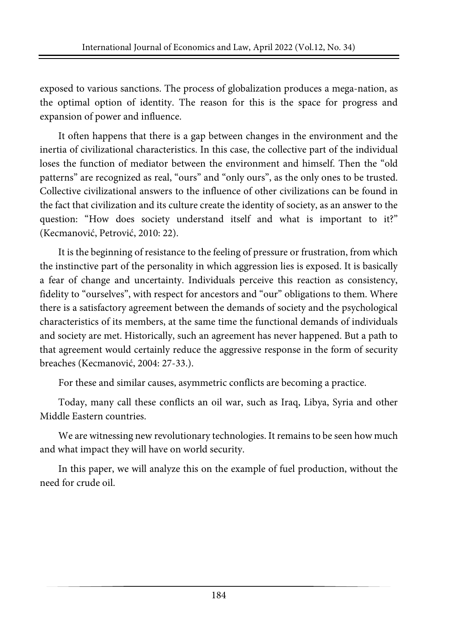exposed to various sanctions. The process of globalization produces a mega-nation, as the optimal option of identity. The reason for this is the space for progress and expansion of power and influence.

It often happens that there is a gap between changes in the environment and the inertia of civilizational characteristics. In this case, the collective part of the individual loses the function of mediator between the environment and himself. Then the "old patterns" are recognized as real, "ours" and "only ours", as the only ones to be trusted. Collective civilizational answers to the influence of other civilizations can be found in the fact that civilization and its culture create the identity of society, as an answer to the question: "How does society understand itself and what is important to it?" (Kecmanović, Petrović, 2010: 22).

It is the beginning of resistance to the feeling of pressure or frustration, from which the instinctive part of the personality in which aggression lies is exposed. It is basically a fear of change and uncertainty. Individuals perceive this reaction as consistency, fidelity to "ourselves", with respect for ancestors and "our" obligations to them. Where there is a satisfactory agreement between the demands of society and the psychological characteristics of its members, at the same time the functional demands of individuals and society are met. Historically, such an agreement has never happened. But a path to that agreement would certainly reduce the aggressive response in the form of security breaches (Kecmanović, 2004: 27-33.).

For these and similar causes, asymmetric conflicts are becoming a practice.

Today, many call these conflicts an oil war, such as Iraq, Libya, Syria and other Middle Eastern countries.

We are witnessing new revolutionary technologies. It remains to be seen how much and what impact they will have on world security.

In this paper, we will analyze this on the example of fuel production, without the need for crude oil.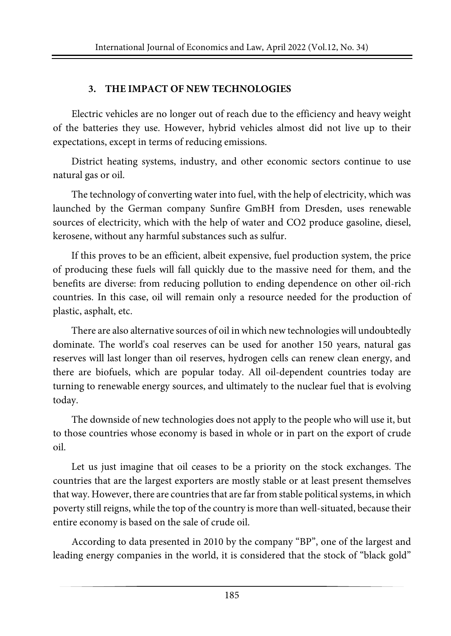## **3. THE IMPACT OF NEW TECHNOLOGIES**

Electric vehicles are no longer out of reach due to the efficiency and heavy weight of the batteries they use. However, hybrid vehicles almost did not live up to their expectations, except in terms of reducing emissions.

District heating systems, industry, and other economic sectors continue to use natural gas or oil.

The technology of converting water into fuel, with the help of electricity, which was launched by the German company Sunfire GmBH from Dresden, uses renewable sources of electricity, which with the help of water and CO2 produce gasoline, diesel, kerosene, without any harmful substances such as sulfur.

If this proves to be an efficient, albeit expensive, fuel production system, the price of producing these fuels will fall quickly due to the massive need for them, and the benefits are diverse: from reducing pollution to ending dependence on other oil-rich countries. In this case, oil will remain only a resource needed for the production of plastic, asphalt, etc.

There are also alternative sources of oil inwhich new technologies will undoubtedly dominate. The world's coal reserves can be used for another 150 years, natural gas reserves will last longer than oil reserves, hydrogen cells can renew clean energy, and there are biofuels, which are popular today. All oil-dependent countries today are turning to renewable energy sources, and ultimately to the nuclear fuel that is evolving today.

The downside of new technologies does not apply to the people who will use it, but to those countries whose economy is based in whole or in part on the export of crude oil.

Let us just imagine that oil ceases to be a priority on the stock exchanges. The countries that are the largest exporters are mostly stable or at least present themselves that way. However, there are countries that are far from stable political systems, in which poverty still reigns, while the top of the country is more than well-situated, because their entire economy is based on the sale of crude oil.

According to data presented in 2010 by the company "BP", one of the largest and leading energy companies in the world, it is considered that the stock of "black gold"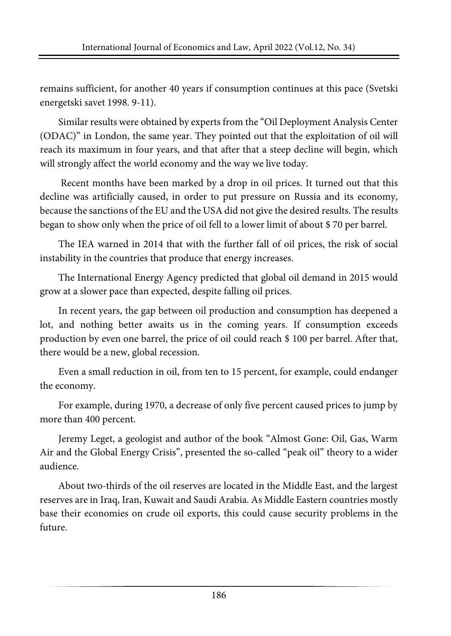remains sufficient, for another 40 years if consumption continues at this pace (Svetski energetski savet 1998. 9-11).

Similar results were obtained by experts from the "Oil Deployment Analysis Center (ODAC)" in London, the same year. They pointed out that the exploitation of oil will reach its maximum in four years, and that after that a steep decline will begin, which will strongly affect the world economy and the way we live today.

Recent months have been marked by a drop in oil prices. It turned out that this decline was artificially caused, in order to put pressure on Russia and its economy, because the sanctions of the EU and the USA did not give the desired results. The results began to show only when the price of oil fell to a lower limit of about \$ 70 per barrel.

The IEA warned in 2014 that with the further fall of oil prices, the risk of social instability in the countries that produce that energy increases.

The International Energy Agency predicted that global oil demand in 2015 would grow at a slower pace than expected, despite falling oil prices.

In recent years, the gap between oil production and consumption has deepened a lot, and nothing better awaits us in the coming years. If consumption exceeds production by even one barrel, the price of oil could reach \$ 100 per barrel. After that, there would be a new, global recession.

Even a small reduction in oil, from ten to 15 percent, for example, could endanger the economy.

For example, during 1970, a decrease of only five percent caused prices to jump by more than 400 percent.

Jeremy Leget, a geologist and author of the book "Almost Gone: Oil, Gas, Warm Air and the Global Energy Crisis", presented the so-called "peak oil" theory to a wider audience.

About two-thirds of the oil reserves are located in the Middle East, and the largest reserves are in Iraq, Iran, Kuwait and Saudi Arabia. As Middle Eastern countries mostly base their economies on crude oil exports, this could cause security problems in the future.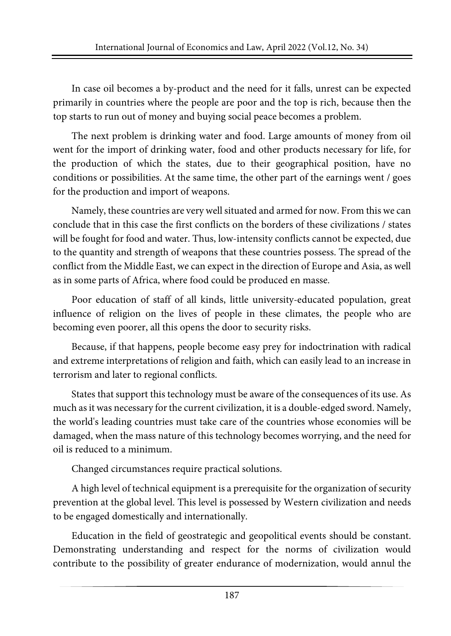In case oil becomes a by-product and the need for it falls, unrest can be expected primarily in countries where the people are poor and the top is rich, because then the top starts to run out of money and buying social peace becomes a problem.

The next problem is drinking water and food. Large amounts of money from oil went for the import of drinking water, food and other products necessary for life, for the production of which the states, due to their geographical position, have no conditions or possibilities. At the same time, the other part of the earnings went / goes for the production and import of weapons.

Namely, these countries are very wellsituated and armed for now. From this we can conclude that in this case the first conflicts on the borders of these civilizations / states will be fought for food and water. Thus, low-intensity conflicts cannot be expected, due to the quantity and strength of weapons that these countries possess. The spread of the conflict from the Middle East, we can expect in the direction of Europe and Asia, as well as in some parts of Africa, where food could be produced en masse.

Poor education of staff of all kinds, little university-educated population, great influence of religion on the lives of people in these climates, the people who are becoming even poorer, all this opens the door to security risks.

Because, if that happens, people become easy prey for indoctrination with radical and extreme interpretations of religion and faith, which can easily lead to an increase in terrorism and later to regional conflicts.

States that support this technology must be aware of the consequences of its use. As much as it was necessary for the current civilization, it is a double-edged sword. Namely, the world's leading countries must take care of the countries whose economies will be damaged, when the mass nature of this technology becomes worrying, and the need for oil is reduced to a minimum.

Changed circumstances require practical solutions.

A high level of technical equipment is a prerequisite for the organization of security prevention at the global level. This level is possessed by Western civilization and needs to be engaged domestically and internationally.

Education in the field of geostrategic and geopolitical events should be constant. Demonstrating understanding and respect for the norms of civilization would contribute to the possibility of greater endurance of modernization, would annul the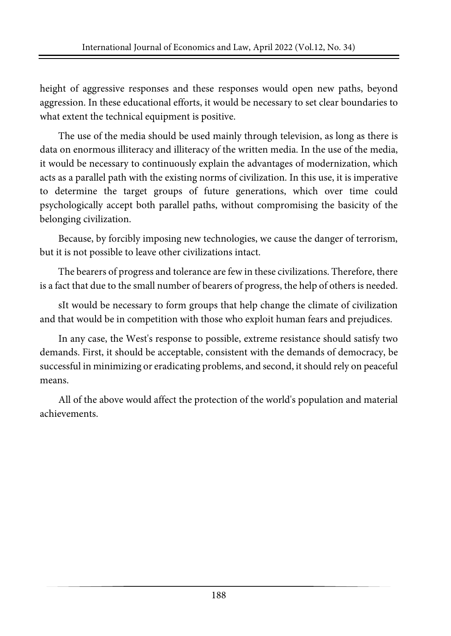height of aggressive responses and these responses would open new paths, beyond aggression. In these educational efforts, it would be necessary to set clear boundaries to what extent the technical equipment is positive.

The use of the media should be used mainly through television, as long as there is data on enormous illiteracy and illiteracy of the written media. In the use of the media, it would be necessary to continuously explain the advantages of modernization, which acts as a parallel path with the existing norms of civilization. In this use, it is imperative to determine the target groups of future generations, which over time could psychologically accept both parallel paths, without compromising the basicity of the belonging civilization.

Because, by forcibly imposing new technologies, we cause the danger of terrorism, but it is not possible to leave other civilizations intact.

The bearers of progress and tolerance are few in these civilizations. Therefore, there is a fact that due to the small number of bearers of progress, the help of others is needed.

sIt would be necessary to form groups that help change the climate of civilization and that would be in competition with those who exploit human fears and prejudices.

In any case, the West's response to possible, extreme resistance should satisfy two demands. First, it should be acceptable, consistent with the demands of democracy, be successful in minimizing or eradicating problems, and second, it should rely on peaceful means.

All of the above would affect the protection of the world's population and material achievements.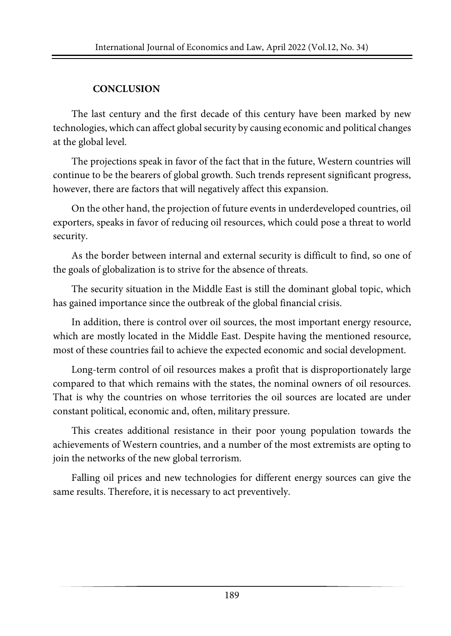## **CONCLUSION**

The last century and the first decade of this century have been marked by new technologies, which can affect global security by causing economic and political changes at the global level.

The projections speak in favor of the fact that in the future, Western countries will continue to be the bearers of global growth. Such trends represent significant progress, however, there are factors that will negatively affect this expansion.

On the other hand, the projection of future events in underdeveloped countries, oil exporters, speaks in favor of reducing oil resources, which could pose a threat to world security.

As the border between internal and external security is difficult to find, so one of the goals of globalization is to strive for the absence of threats.

The security situation in the Middle East is still the dominant global topic, which has gained importance since the outbreak of the global financial crisis.

In addition, there is control over oil sources, the most important energy resource, which are mostly located in the Middle East. Despite having the mentioned resource, most of these countries fail to achieve the expected economic and social development.

Long-term control of oil resources makes a profit that is disproportionately large compared to that which remains with the states, the nominal owners of oil resources. That is why the countries on whose territories the oil sources are located are under constant political, economic and, often, military pressure.

This creates additional resistance in their poor young population towards the achievements of Western countries, and a number of the most extremists are opting to join the networks of the new global terrorism.

Falling oil prices and new technologies for different energy sources can give the same results. Therefore, it is necessary to act preventively.